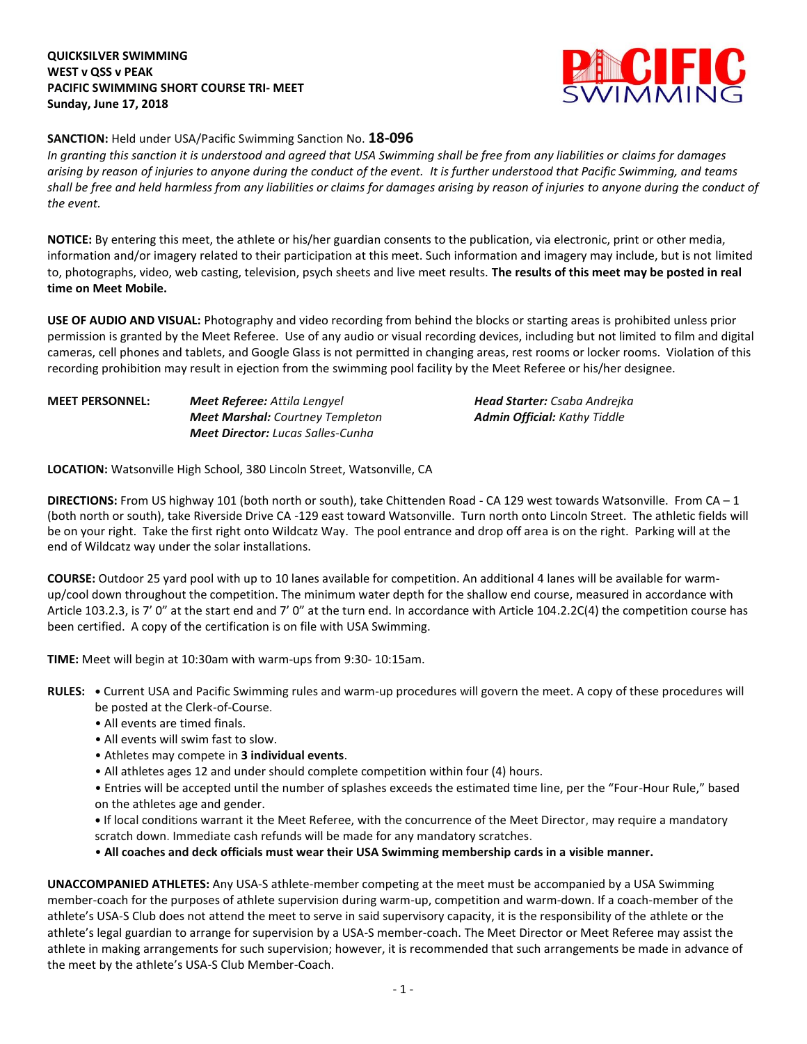## **QUICKSILVER SWIMMING WEST v QSS v PEAK PACIFIC SWIMMING SHORT COURSE TRI- MEET Sunday, June 17, 2018**



## **SANCTION:** Held under USA/Pacific Swimming Sanction No. **18-096**

*In granting this sanction it is understood and agreed that USA Swimming shall be free from any liabilities or claims for damages arising by reason of injuries to anyone during the conduct of the event. It is further understood that Pacific Swimming, and teams shall be free and held harmless from any liabilities or claims for damages arising by reason of injuries to anyone during the conduct of the event.*

**NOTICE:** By entering this meet, the athlete or his/her guardian consents to the publication, via electronic, print or other media, information and/or imagery related to their participation at this meet. Such information and imagery may include, but is not limited to, photographs, video, web casting, television, psych sheets and live meet results. **The results of this meet may be posted in real time on Meet Mobile.**

**USE OF AUDIO AND VISUAL:** Photography and video recording from behind the blocks or starting areas is prohibited unless prior permission is granted by the Meet Referee. Use of any audio or visual recording devices, including but not limited to film and digital cameras, cell phones and tablets, and Google Glass is not permitted in changing areas, rest rooms or locker rooms. Violation of this recording prohibition may result in ejection from the swimming pool facility by the Meet Referee or his/her designee.

| <b>MEET PERSONNEL:</b> | <b>Meet Referee:</b> Attila Lengyel      | <b>Head Starter:</b> Csaba Andreika |
|------------------------|------------------------------------------|-------------------------------------|
|                        | <b>Meet Marshal:</b> Courtney Templeton  | <b>Admin Official:</b> Kathy Tiddle |
|                        | <b>Meet Director:</b> Lucas Salles-Cunha |                                     |

**LOCATION:** Watsonville High School, 380 Lincoln Street, Watsonville, CA

**DIRECTIONS:** From US highway 101 (both north or south), take Chittenden Road - CA 129 west towards Watsonville. From CA – 1 (both north or south), take Riverside Drive CA -129 east toward Watsonville. Turn north onto Lincoln Street. The athletic fields will be on your right. Take the first right onto Wildcatz Way. The pool entrance and drop off area is on the right. Parking will at the end of Wildcatz way under the solar installations.

**COURSE:** Outdoor 25 yard pool with up to 10 lanes available for competition. An additional 4 lanes will be available for warmup/cool down throughout the competition. The minimum water depth for the shallow end course, measured in accordance with Article 103.2.3, is 7' 0" at the start end and 7' 0" at the turn end. In accordance with Article 104.2.2C(4) the competition course has been certified. A copy of the certification is on file with USA Swimming.

**TIME:** Meet will begin at 10:30am with warm-ups from 9:30- 10:15am.

**RULES: •** Current USA and Pacific Swimming rules and warm-up procedures will govern the meet. A copy of these procedures will be posted at the Clerk-of-Course.

- All events are timed finals.
- All events will swim fast to slow.
- Athletes may compete in **3 individual events**.
- All athletes ages 12 and under should complete competition within four (4) hours.

• Entries will be accepted until the number of splashes exceeds the estimated time line, per the "Four-Hour Rule," based on the athletes age and gender.

**•** If local conditions warrant it the Meet Referee, with the concurrence of the Meet Director, may require a mandatory scratch down. Immediate cash refunds will be made for any mandatory scratches.

• **All coaches and deck officials must wear their USA Swimming membership cards in a visible manner.** 

**UNACCOMPANIED ATHLETES:** Any USA-S athlete-member competing at the meet must be accompanied by a USA Swimming member-coach for the purposes of athlete supervision during warm-up, competition and warm-down. If a coach-member of the athlete's USA-S Club does not attend the meet to serve in said supervisory capacity, it is the responsibility of the athlete or the athlete's legal guardian to arrange for supervision by a USA-S member-coach. The Meet Director or Meet Referee may assist the athlete in making arrangements for such supervision; however, it is recommended that such arrangements be made in advance of the meet by the athlete's USA-S Club Member-Coach.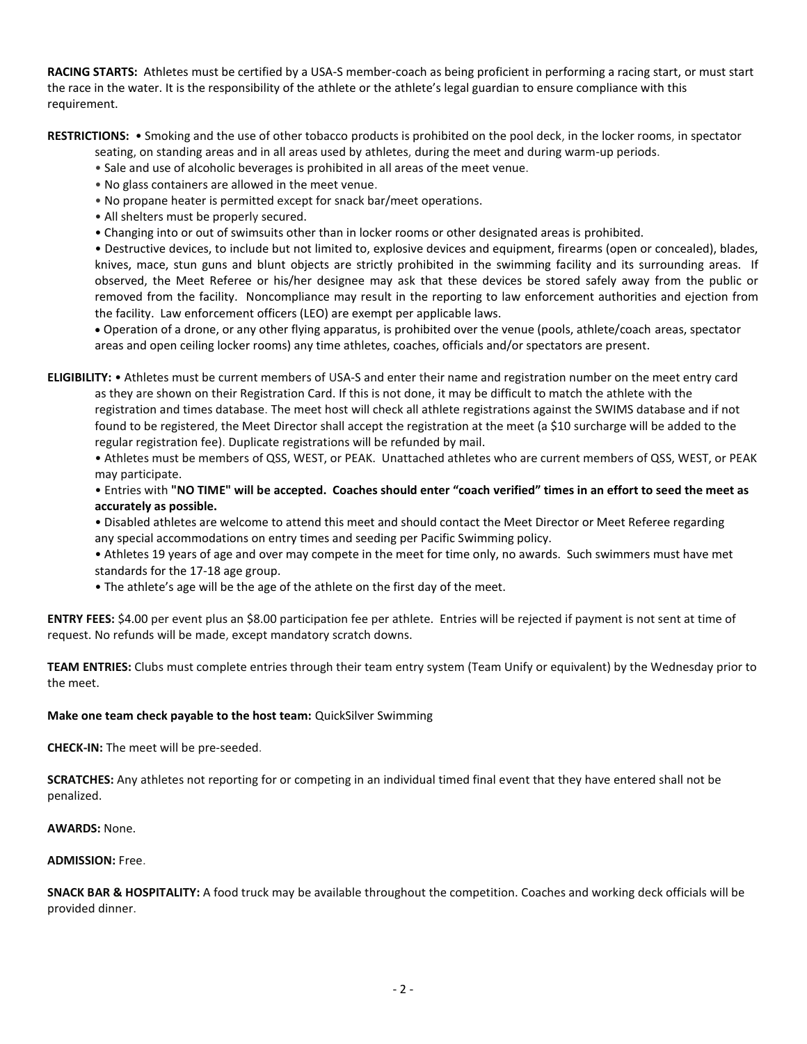**RACING STARTS:** Athletes must be certified by a USA-S member-coach as being proficient in performing a racing start, or must start the race in the water. It is the responsibility of the athlete or the athlete's legal guardian to ensure compliance with this requirement.

**RESTRICTIONS:** • Smoking and the use of other tobacco products is prohibited on the pool deck, in the locker rooms, in spectator

seating, on standing areas and in all areas used by athletes, during the meet and during warm-up periods.

• Sale and use of alcoholic beverages is prohibited in all areas of the meet venue.

- No glass containers are allowed in the meet venue.
- No propane heater is permitted except for snack bar/meet operations.
- All shelters must be properly secured.
- Changing into or out of swimsuits other than in locker rooms or other designated areas is prohibited.

• Destructive devices, to include but not limited to, explosive devices and equipment, firearms (open or concealed), blades, knives, mace, stun guns and blunt objects are strictly prohibited in the swimming facility and its surrounding areas. If observed, the Meet Referee or his/her designee may ask that these devices be stored safely away from the public or removed from the facility. Noncompliance may result in the reporting to law enforcement authorities and ejection from the facility. Law enforcement officers (LEO) are exempt per applicable laws.

 Operation of a drone, or any other flying apparatus, is prohibited over the venue (pools, athlete/coach areas, spectator areas and open ceiling locker rooms) any time athletes, coaches, officials and/or spectators are present.

**ELIGIBILITY:** • Athletes must be current members of USA-S and enter their name and registration number on the meet entry card as they are shown on their Registration Card. If this is not done, it may be difficult to match the athlete with the registration and times database. The meet host will check all athlete registrations against the SWIMS database and if not found to be registered, the Meet Director shall accept the registration at the meet (a \$10 surcharge will be added to the regular registration fee). Duplicate registrations will be refunded by mail.

• Athletes must be members of QSS, WEST, or PEAK. Unattached athletes who are current members of QSS, WEST, or PEAK may participate.

• Entries with **"NO TIME" will be accepted. Coaches should enter "coach verified" times in an effort to seed the meet as accurately as possible.**

• Disabled athletes are welcome to attend this meet and should contact the Meet Director or Meet Referee regarding any special accommodations on entry times and seeding per Pacific Swimming policy.

- Athletes 19 years of age and over may compete in the meet for time only, no awards. Such swimmers must have met standards for the 17-18 age group.
- The athlete's age will be the age of the athlete on the first day of the meet.

**ENTRY FEES:** \$4.00 per event plus an \$8.00 participation fee per athlete. Entries will be rejected if payment is not sent at time of request. No refunds will be made, except mandatory scratch downs.

**TEAM ENTRIES:** Clubs must complete entries through their team entry system (Team Unify or equivalent) by the Wednesday prior to the meet.

## **Make one team check payable to the host team:** QuickSilver Swimming

**CHECK-IN:** The meet will be pre-seeded.

**SCRATCHES:** Any athletes not reporting for or competing in an individual timed final event that they have entered shall not be penalized.

**AWARDS:** None.

#### **ADMISSION:** Free.

**SNACK BAR & HOSPITALITY:** A food truck may be available throughout the competition. Coaches and working deck officials will be provided dinner.